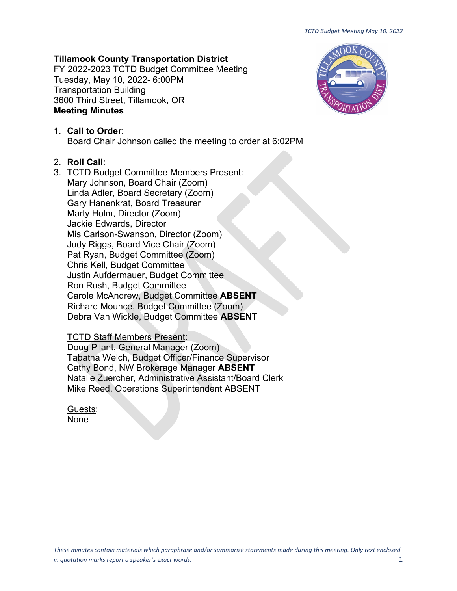# **Tillamook County Transportation District**

FY 2022-2023 TCTD Budget Committee Meeting Tuesday, May 10, 2022- 6:00PM Transportation Building 3600 Third Street, Tillamook, OR **Meeting Minutes**



## 1. **Call to Order**: Board Chair Johnson called the meeting to order at 6:02PM

### 2. **Roll Call**:

3. TCTD Budget Committee Members Present: Mary Johnson, Board Chair (Zoom) Linda Adler, Board Secretary (Zoom) Gary Hanenkrat, Board Treasurer Marty Holm, Director (Zoom) Jackie Edwards, Director Mis Carlson-Swanson, Director (Zoom) Judy Riggs, Board Vice Chair (Zoom) Pat Ryan, Budget Committee (Zoom) Chris Kell, Budget Committee Justin Aufdermauer, Budget Committee Ron Rush, Budget Committee Carole McAndrew, Budget Committee **ABSENT** Richard Mounce, Budget Committee (Zoom) Debra Van Wickle, Budget Committee **ABSENT**

### TCTD Staff Members Present:

Doug Pilant, General Manager (Zoom) Tabatha Welch, Budget Officer/Finance Supervisor Cathy Bond, NW Brokerage Manager **ABSENT** Natalie Zuercher, Administrative Assistant/Board Clerk Mike Reed, Operations Superintendent ABSENT

Guests: None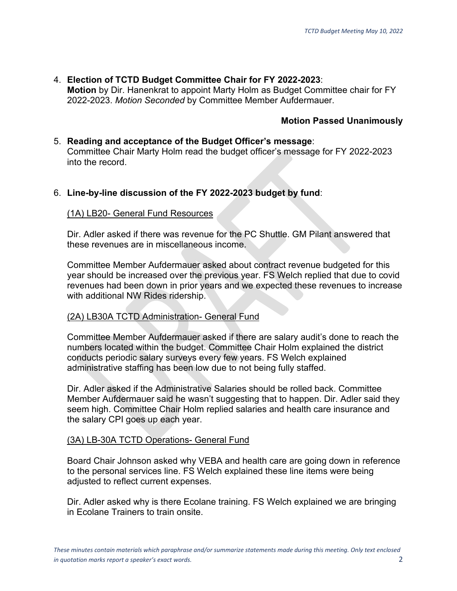# 4. **Election of TCTD Budget Committee Chair for FY 2022-2023**:

**Motion** by Dir. Hanenkrat to appoint Marty Holm as Budget Committee chair for FY 2022-2023. *Motion Seconded* by Committee Member Aufdermauer.

# **Motion Passed Unanimously**

# 5. **Reading and acceptance of the Budget Officer's message**: Committee Chair Marty Holm read the budget officer's message for FY 2022-2023 into the record.

# 6. **Line-by-line discussion of the FY 2022-2023 budget by fund**:

### (1A) LB20- General Fund Resources

Dir. Adler asked if there was revenue for the PC Shuttle. GM Pilant answered that these revenues are in miscellaneous income.

Committee Member Aufdermauer asked about contract revenue budgeted for this year should be increased over the previous year. FS Welch replied that due to covid revenues had been down in prior years and we expected these revenues to increase with additional NW Rides ridership.

## (2A) LB30A TCTD Administration- General Fund

Committee Member Aufdermauer asked if there are salary audit's done to reach the numbers located within the budget. Committee Chair Holm explained the district conducts periodic salary surveys every few years. FS Welch explained administrative staffing has been low due to not being fully staffed.

Dir. Adler asked if the Administrative Salaries should be rolled back. Committee Member Aufdermauer said he wasn't suggesting that to happen. Dir. Adler said they seem high. Committee Chair Holm replied salaries and health care insurance and the salary CPI goes up each year.

## (3A) LB-30A TCTD Operations- General Fund

Board Chair Johnson asked why VEBA and health care are going down in reference to the personal services line. FS Welch explained these line items were being adjusted to reflect current expenses.

Dir. Adler asked why is there Ecolane training. FS Welch explained we are bringing in Ecolane Trainers to train onsite.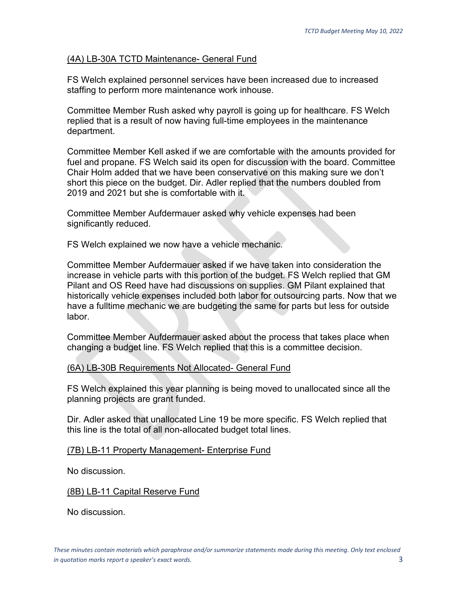## (4A) LB-30A TCTD Maintenance- General Fund

FS Welch explained personnel services have been increased due to increased staffing to perform more maintenance work inhouse.

Committee Member Rush asked why payroll is going up for healthcare. FS Welch replied that is a result of now having full-time employees in the maintenance department.

Committee Member Kell asked if we are comfortable with the amounts provided for fuel and propane. FS Welch said its open for discussion with the board. Committee Chair Holm added that we have been conservative on this making sure we don't short this piece on the budget. Dir. Adler replied that the numbers doubled from 2019 and 2021 but she is comfortable with it.

Committee Member Aufdermauer asked why vehicle expenses had been significantly reduced.

FS Welch explained we now have a vehicle mechanic.

Committee Member Aufdermauer asked if we have taken into consideration the increase in vehicle parts with this portion of the budget. FS Welch replied that GM Pilant and OS Reed have had discussions on supplies. GM Pilant explained that historically vehicle expenses included both labor for outsourcing parts. Now that we have a fulltime mechanic we are budgeting the same for parts but less for outside labor.

Committee Member Aufdermauer asked about the process that takes place when changing a budget line. FS Welch replied that this is a committee decision.

#### (6A) LB-30B Requirements Not Allocated- General Fund

FS Welch explained this year planning is being moved to unallocated since all the planning projects are grant funded.

Dir. Adler asked that unallocated Line 19 be more specific. FS Welch replied that this line is the total of all non-allocated budget total lines.

#### (7B) LB-11 Property Management- Enterprise Fund

No discussion.

#### (8B) LB-11 Capital Reserve Fund

No discussion.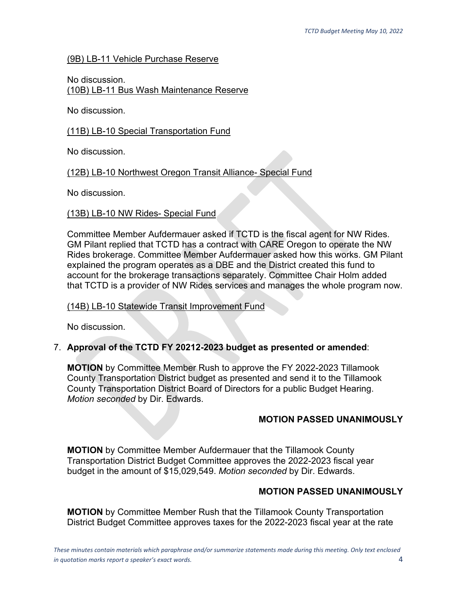## (9B) LB-11 Vehicle Purchase Reserve

No discussion. (10B) LB-11 Bus Wash Maintenance Reserve

No discussion.

### (11B) LB-10 Special Transportation Fund

No discussion.

## (12B) LB-10 Northwest Oregon Transit Alliance- Special Fund

No discussion.

### (13B) LB-10 NW Rides- Special Fund

Committee Member Aufdermauer asked if TCTD is the fiscal agent for NW Rides. GM Pilant replied that TCTD has a contract with CARE Oregon to operate the NW Rides brokerage. Committee Member Aufdermauer asked how this works. GM Pilant explained the program operates as a DBE and the District created this fund to account for the brokerage transactions separately. Committee Chair Holm added that TCTD is a provider of NW Rides services and manages the whole program now.

#### (14B) LB-10 Statewide Transit Improvement Fund

No discussion.

## 7. **Approval of the TCTD FY 20212-2023 budget as presented or amended**:

**MOTION** by Committee Member Rush to approve the FY 2022-2023 Tillamook County Transportation District budget as presented and send it to the Tillamook County Transportation District Board of Directors for a public Budget Hearing. *Motion seconded* by Dir. Edwards.

## **MOTION PASSED UNANIMOUSLY**

**MOTION** by Committee Member Aufdermauer that the Tillamook County Transportation District Budget Committee approves the 2022-2023 fiscal year budget in the amount of \$15,029,549. *Motion seconded* by Dir. Edwards.

## **MOTION PASSED UNANIMOUSLY**

**MOTION** by Committee Member Rush that the Tillamook County Transportation District Budget Committee approves taxes for the 2022-2023 fiscal year at the rate